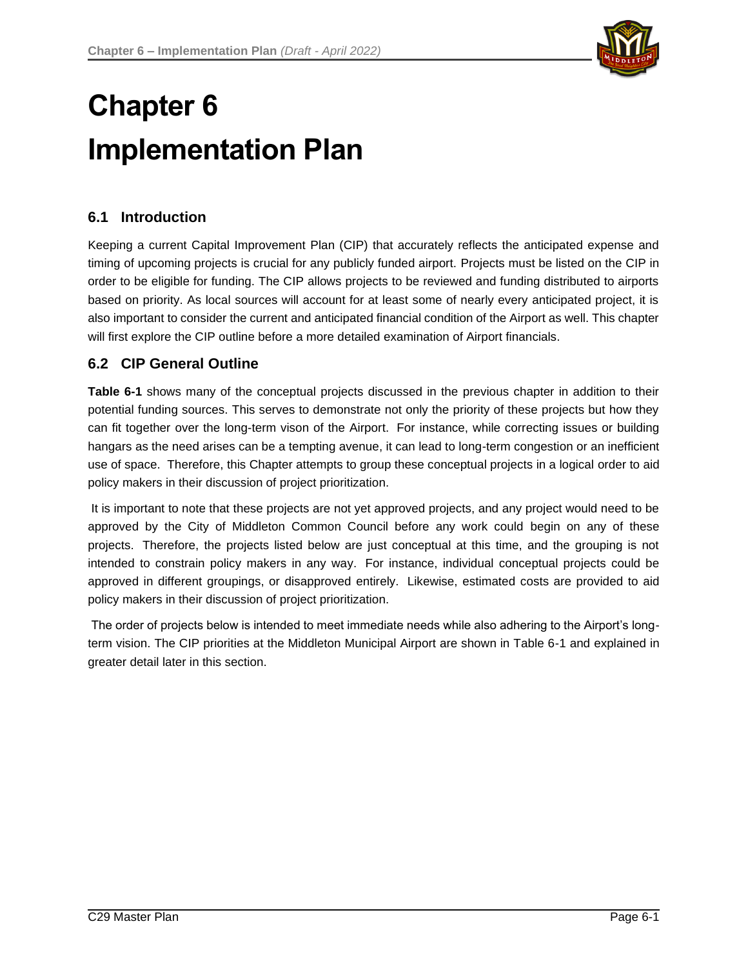

# **Chapter 6 Implementation Plan**

# **6.1 Introduction**

Keeping a current Capital Improvement Plan (CIP) that accurately reflects the anticipated expense and timing of upcoming projects is crucial for any publicly funded airport. Projects must be listed on the CIP in order to be eligible for funding. The CIP allows projects to be reviewed and funding distributed to airports based on priority. As local sources will account for at least some of nearly every anticipated project, it is also important to consider the current and anticipated financial condition of the Airport as well. This chapter will first explore the CIP outline before a more detailed examination of Airport financials.

# **6.2 CIP General Outline**

**Table 6-1** shows many of the conceptual projects discussed in the previous chapter in addition to their potential funding sources. This serves to demonstrate not only the priority of these projects but how they can fit together over the long-term vison of the Airport. For instance, while correcting issues or building hangars as the need arises can be a tempting avenue, it can lead to long-term congestion or an inefficient use of space. Therefore, this Chapter attempts to group these conceptual projects in a logical order to aid policy makers in their discussion of project prioritization.

It is important to note that these projects are not yet approved projects, and any project would need to be approved by the City of Middleton Common Council before any work could begin on any of these projects. Therefore, the projects listed below are just conceptual at this time, and the grouping is not intended to constrain policy makers in any way. For instance, individual conceptual projects could be approved in different groupings, or disapproved entirely. Likewise, estimated costs are provided to aid policy makers in their discussion of project prioritization.

The order of projects below is intended to meet immediate needs while also adhering to the Airport's longterm vision. The CIP priorities at the Middleton Municipal Airport are shown in Table 6-1 and explained in greater detail later in this section.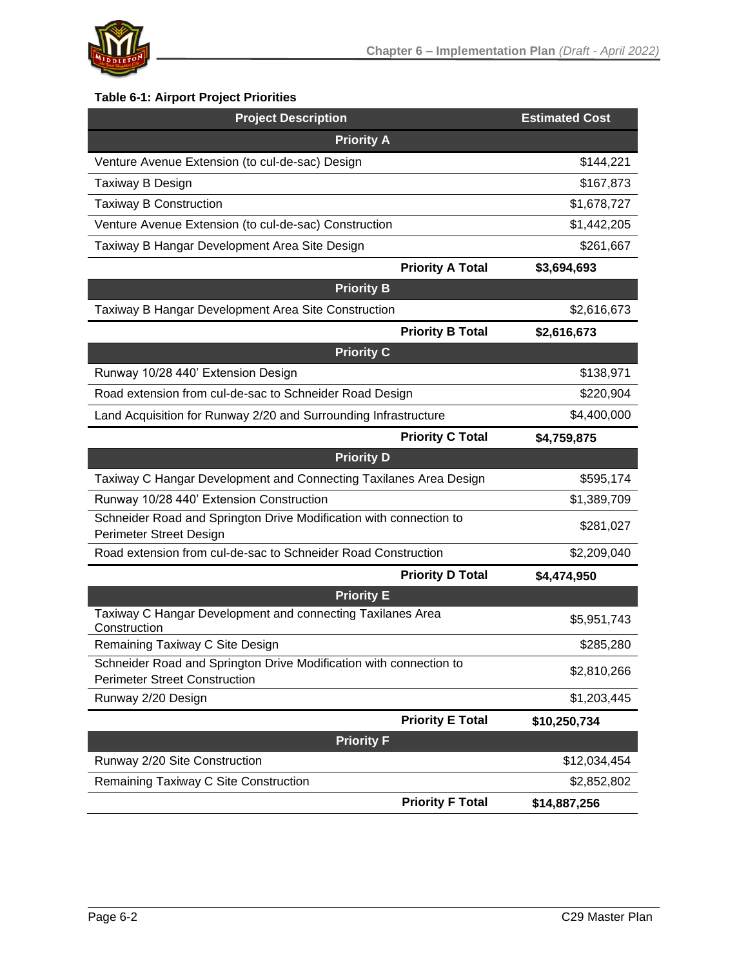

# **Table 6-1: Airport Project Priorities**

| <b>Project Description</b>                                                                    |                         | <b>Estimated Cost</b> |  |  |  |  |
|-----------------------------------------------------------------------------------------------|-------------------------|-----------------------|--|--|--|--|
| <b>Priority A</b>                                                                             |                         |                       |  |  |  |  |
| Venture Avenue Extension (to cul-de-sac) Design                                               |                         | \$144,221             |  |  |  |  |
| Taxiway B Design                                                                              |                         | \$167,873             |  |  |  |  |
| <b>Taxiway B Construction</b>                                                                 |                         | \$1,678,727           |  |  |  |  |
| Venture Avenue Extension (to cul-de-sac) Construction                                         |                         | \$1,442,205           |  |  |  |  |
| Taxiway B Hangar Development Area Site Design                                                 |                         | \$261,667             |  |  |  |  |
|                                                                                               | <b>Priority A Total</b> | \$3,694,693           |  |  |  |  |
| <b>Priority B</b>                                                                             |                         |                       |  |  |  |  |
| Taxiway B Hangar Development Area Site Construction                                           |                         | \$2,616,673           |  |  |  |  |
|                                                                                               | <b>Priority B Total</b> | \$2,616,673           |  |  |  |  |
| <b>Priority C</b>                                                                             |                         |                       |  |  |  |  |
| Runway 10/28 440' Extension Design                                                            |                         | \$138,971             |  |  |  |  |
| Road extension from cul-de-sac to Schneider Road Design                                       |                         | \$220,904             |  |  |  |  |
| Land Acquisition for Runway 2/20 and Surrounding Infrastructure                               | \$4,400,000             |                       |  |  |  |  |
|                                                                                               | <b>Priority C Total</b> | \$4,759,875           |  |  |  |  |
| <b>Priority D</b>                                                                             |                         |                       |  |  |  |  |
| Taxiway C Hangar Development and Connecting Taxilanes Area Design                             | \$595,174               |                       |  |  |  |  |
| Runway 10/28 440' Extension Construction                                                      | \$1,389,709             |                       |  |  |  |  |
| Schneider Road and Springton Drive Modification with connection to<br>Perimeter Street Design | \$281,027               |                       |  |  |  |  |
| Road extension from cul-de-sac to Schneider Road Construction                                 | \$2,209,040             |                       |  |  |  |  |
|                                                                                               | <b>Priority D Total</b> | \$4,474,950           |  |  |  |  |
| <b>Priority E</b>                                                                             |                         |                       |  |  |  |  |
| Taxiway C Hangar Development and connecting Taxilanes Area<br>Construction                    |                         | \$5,951,743           |  |  |  |  |
| Remaining Taxiway C Site Design                                                               |                         | \$285,280             |  |  |  |  |
| Schneider Road and Springton Drive Modification with connection to                            |                         |                       |  |  |  |  |
| <b>Perimeter Street Construction</b>                                                          |                         | \$2,810,266           |  |  |  |  |
| Runway 2/20 Design                                                                            |                         | \$1,203,445           |  |  |  |  |
|                                                                                               | <b>Priority E Total</b> | \$10,250,734          |  |  |  |  |
| <b>Priority F</b>                                                                             |                         |                       |  |  |  |  |
| Runway 2/20 Site Construction                                                                 |                         | \$12,034,454          |  |  |  |  |
| Remaining Taxiway C Site Construction                                                         |                         | \$2,852,802           |  |  |  |  |
|                                                                                               | <b>Priority F Total</b> | \$14,887,256          |  |  |  |  |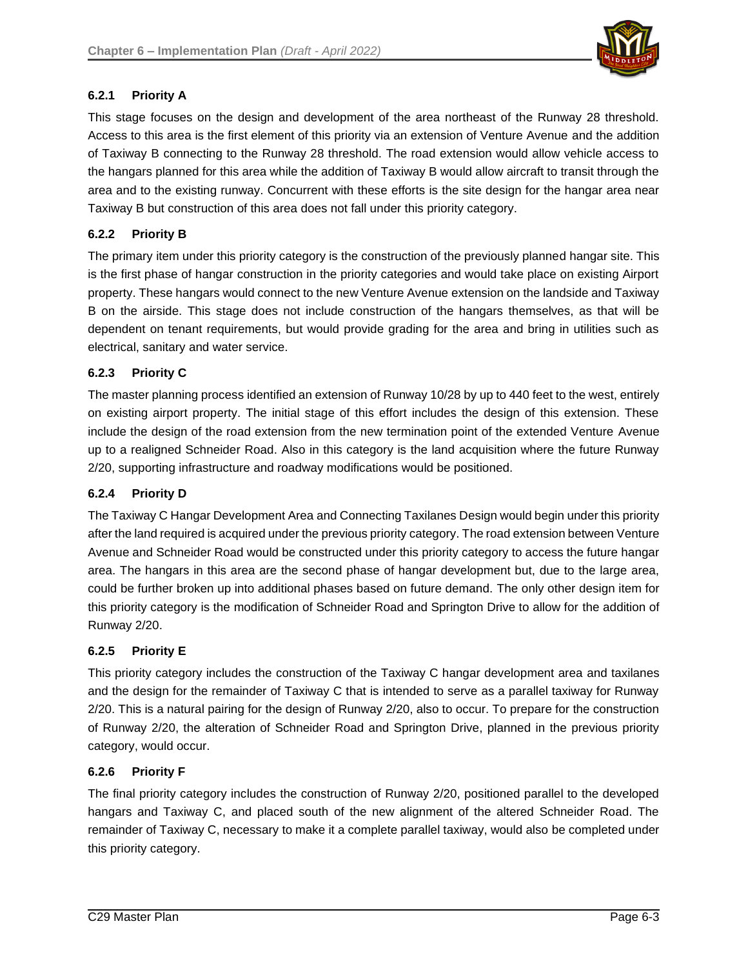

## **6.2.1 Priority A**

This stage focuses on the design and development of the area northeast of the Runway 28 threshold. Access to this area is the first element of this priority via an extension of Venture Avenue and the addition of Taxiway B connecting to the Runway 28 threshold. The road extension would allow vehicle access to the hangars planned for this area while the addition of Taxiway B would allow aircraft to transit through the area and to the existing runway. Concurrent with these efforts is the site design for the hangar area near Taxiway B but construction of this area does not fall under this priority category.

## **6.2.2 Priority B**

The primary item under this priority category is the construction of the previously planned hangar site. This is the first phase of hangar construction in the priority categories and would take place on existing Airport property. These hangars would connect to the new Venture Avenue extension on the landside and Taxiway B on the airside. This stage does not include construction of the hangars themselves, as that will be dependent on tenant requirements, but would provide grading for the area and bring in utilities such as electrical, sanitary and water service.

## **6.2.3 Priority C**

The master planning process identified an extension of Runway 10/28 by up to 440 feet to the west, entirely on existing airport property. The initial stage of this effort includes the design of this extension. These include the design of the road extension from the new termination point of the extended Venture Avenue up to a realigned Schneider Road. Also in this category is the land acquisition where the future Runway 2/20, supporting infrastructure and roadway modifications would be positioned.

#### **6.2.4 Priority D**

The Taxiway C Hangar Development Area and Connecting Taxilanes Design would begin under this priority after the land required is acquired under the previous priority category. The road extension between Venture Avenue and Schneider Road would be constructed under this priority category to access the future hangar area. The hangars in this area are the second phase of hangar development but, due to the large area, could be further broken up into additional phases based on future demand. The only other design item for this priority category is the modification of Schneider Road and Springton Drive to allow for the addition of Runway 2/20.

#### **6.2.5 Priority E**

This priority category includes the construction of the Taxiway C hangar development area and taxilanes and the design for the remainder of Taxiway C that is intended to serve as a parallel taxiway for Runway 2/20. This is a natural pairing for the design of Runway 2/20, also to occur. To prepare for the construction of Runway 2/20, the alteration of Schneider Road and Springton Drive, planned in the previous priority category, would occur.

#### **6.2.6 Priority F**

The final priority category includes the construction of Runway 2/20, positioned parallel to the developed hangars and Taxiway C, and placed south of the new alignment of the altered Schneider Road. The remainder of Taxiway C, necessary to make it a complete parallel taxiway, would also be completed under this priority category.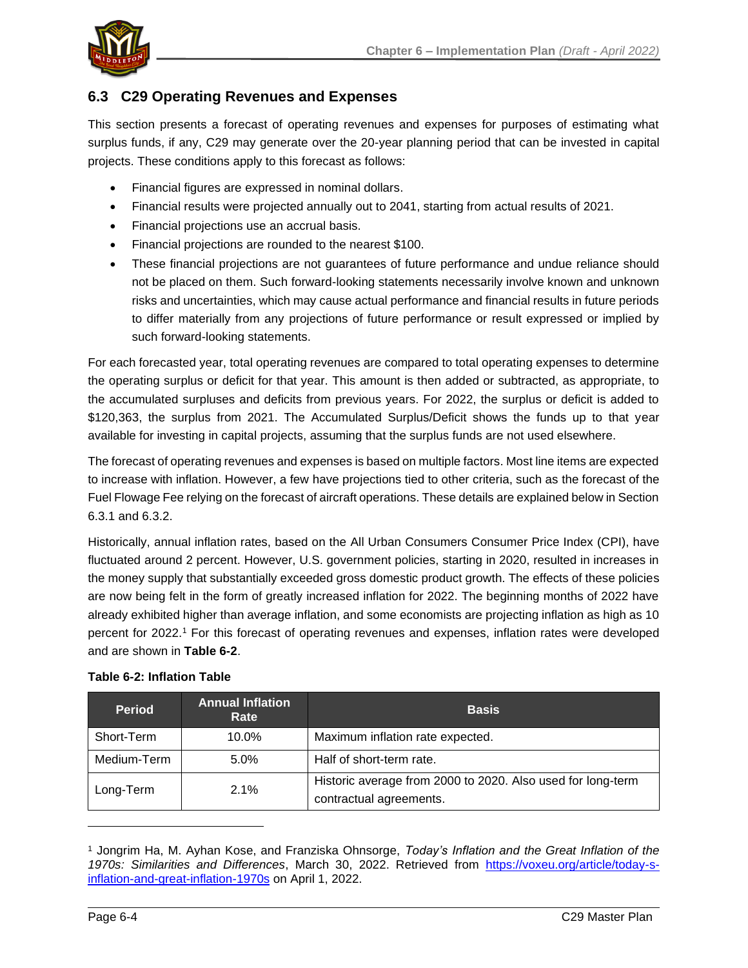

# **6.3 C29 Operating Revenues and Expenses**

This section presents a forecast of operating revenues and expenses for purposes of estimating what surplus funds, if any, C29 may generate over the 20-year planning period that can be invested in capital projects. These conditions apply to this forecast as follows:

- Financial figures are expressed in nominal dollars.
- Financial results were projected annually out to 2041, starting from actual results of 2021.
- Financial projections use an accrual basis.
- Financial projections are rounded to the nearest \$100.
- These financial projections are not guarantees of future performance and undue reliance should not be placed on them. Such forward-looking statements necessarily involve known and unknown risks and uncertainties, which may cause actual performance and financial results in future periods to differ materially from any projections of future performance or result expressed or implied by such forward-looking statements.

For each forecasted year, total operating revenues are compared to total operating expenses to determine the operating surplus or deficit for that year. This amount is then added or subtracted, as appropriate, to the accumulated surpluses and deficits from previous years. For 2022, the surplus or deficit is added to \$120,363, the surplus from 2021. The Accumulated Surplus/Deficit shows the funds up to that year available for investing in capital projects, assuming that the surplus funds are not used elsewhere.

The forecast of operating revenues and expenses is based on multiple factors. Most line items are expected to increase with inflation. However, a few have projections tied to other criteria, such as the forecast of the Fuel Flowage Fee relying on the forecast of aircraft operations. These details are explained below in Section 6.3.1 and 6.3.2.

Historically, annual inflation rates, based on the All Urban Consumers Consumer Price Index (CPI), have fluctuated around 2 percent. However, U.S. government policies, starting in 2020, resulted in increases in the money supply that substantially exceeded gross domestic product growth. The effects of these policies are now being felt in the form of greatly increased inflation for 2022. The beginning months of 2022 have already exhibited higher than average inflation, and some economists are projecting inflation as high as 10 percent for 2022.<sup>1</sup> For this forecast of operating revenues and expenses, inflation rates were developed and are shown in **Table 6-2**.

| <b>Period</b>     | <b>Annual Inflation</b><br>Rate | <b>Basis</b>                                                                           |  |  |  |
|-------------------|---------------------------------|----------------------------------------------------------------------------------------|--|--|--|
| Short-Term        | $10.0\%$                        | Maximum inflation rate expected.                                                       |  |  |  |
| Medium-Term       | 5.0%                            | Half of short-term rate.                                                               |  |  |  |
| 2.1%<br>Long-Term |                                 | Historic average from 2000 to 2020. Also used for long-term<br>contractual agreements. |  |  |  |

## **Table 6-2: Inflation Table**

<sup>1</sup> Jongrim Ha, M. Ayhan Kose, and Franziska Ohnsorge, *Today's Inflation and the Great Inflation of the 1970s: Similarities and Differences*, March 30, 2022. Retrieved from [https://voxeu.org/article/today-s](https://voxeu.org/article/today-s-inflation-and-great-inflation-1970s)[inflation-and-great-inflation-1970s](https://voxeu.org/article/today-s-inflation-and-great-inflation-1970s) on April 1, 2022.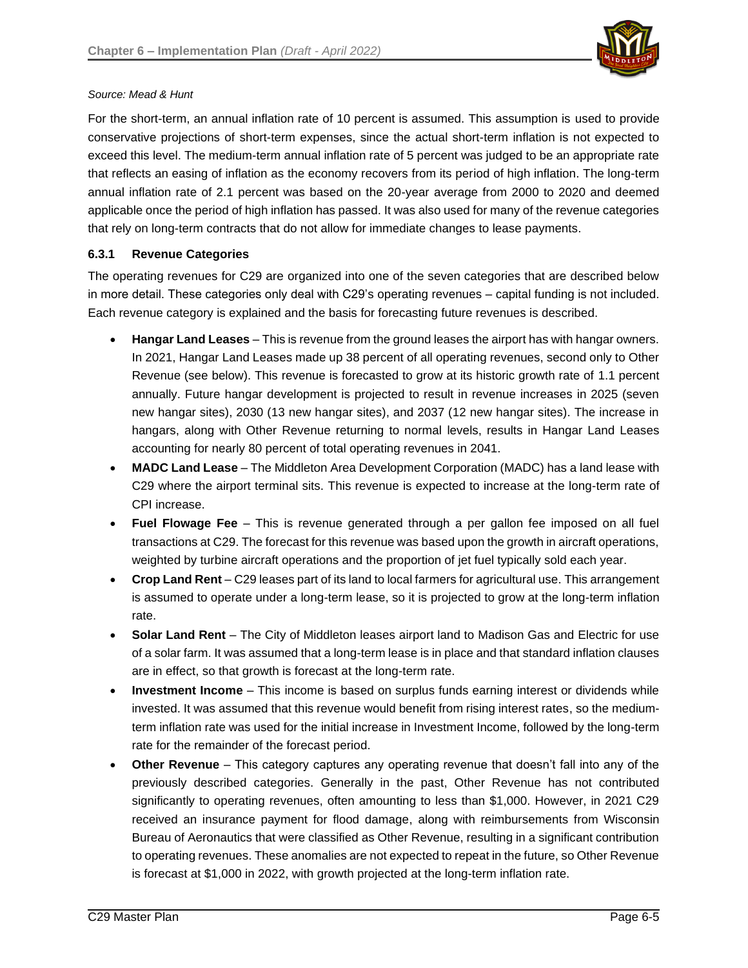

#### *Source: Mead & Hunt*

For the short-term, an annual inflation rate of 10 percent is assumed. This assumption is used to provide conservative projections of short-term expenses, since the actual short-term inflation is not expected to exceed this level. The medium-term annual inflation rate of 5 percent was judged to be an appropriate rate that reflects an easing of inflation as the economy recovers from its period of high inflation. The long-term annual inflation rate of 2.1 percent was based on the 20-year average from 2000 to 2020 and deemed applicable once the period of high inflation has passed. It was also used for many of the revenue categories that rely on long-term contracts that do not allow for immediate changes to lease payments.

#### **6.3.1 Revenue Categories**

The operating revenues for C29 are organized into one of the seven categories that are described below in more detail. These categories only deal with C29's operating revenues – capital funding is not included. Each revenue category is explained and the basis for forecasting future revenues is described.

- **Hangar Land Leases** This is revenue from the ground leases the airport has with hangar owners. In 2021, Hangar Land Leases made up 38 percent of all operating revenues, second only to Other Revenue (see below). This revenue is forecasted to grow at its historic growth rate of 1.1 percent annually. Future hangar development is projected to result in revenue increases in 2025 (seven new hangar sites), 2030 (13 new hangar sites), and 2037 (12 new hangar sites). The increase in hangars, along with Other Revenue returning to normal levels, results in Hangar Land Leases accounting for nearly 80 percent of total operating revenues in 2041.
- **MADC Land Lease** The Middleton Area Development Corporation (MADC) has a land lease with C29 where the airport terminal sits. This revenue is expected to increase at the long-term rate of CPI increase.
- **Fuel Flowage Fee** This is revenue generated through a per gallon fee imposed on all fuel transactions at C29. The forecast for this revenue was based upon the growth in aircraft operations, weighted by turbine aircraft operations and the proportion of jet fuel typically sold each year.
- **Crop Land Rent** C29 leases part of its land to local farmers for agricultural use. This arrangement is assumed to operate under a long-term lease, so it is projected to grow at the long-term inflation rate.
- **Solar Land Rent** The City of Middleton leases airport land to Madison Gas and Electric for use of a solar farm. It was assumed that a long-term lease is in place and that standard inflation clauses are in effect, so that growth is forecast at the long-term rate.
- **Investment Income** This income is based on surplus funds earning interest or dividends while invested. It was assumed that this revenue would benefit from rising interest rates, so the mediumterm inflation rate was used for the initial increase in Investment Income, followed by the long-term rate for the remainder of the forecast period.
- **Other Revenue** This category captures any operating revenue that doesn't fall into any of the previously described categories. Generally in the past, Other Revenue has not contributed significantly to operating revenues, often amounting to less than \$1,000. However, in 2021 C29 received an insurance payment for flood damage, along with reimbursements from Wisconsin Bureau of Aeronautics that were classified as Other Revenue, resulting in a significant contribution to operating revenues. These anomalies are not expected to repeat in the future, so Other Revenue is forecast at \$1,000 in 2022, with growth projected at the long-term inflation rate.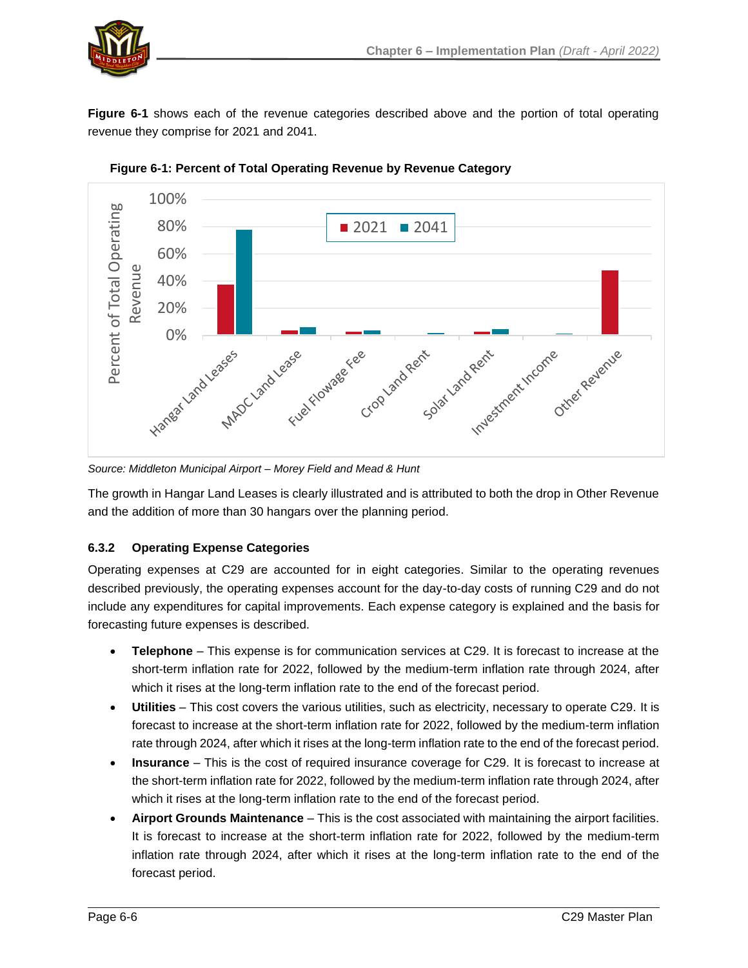

**Figure 6-1** shows each of the revenue categories described above and the portion of total operating revenue they comprise for 2021 and 2041.



**Figure 6-1: Percent of Total Operating Revenue by Revenue Category**

*Source: Middleton Municipal Airport – Morey Field and Mead & Hunt*

The growth in Hangar Land Leases is clearly illustrated and is attributed to both the drop in Other Revenue and the addition of more than 30 hangars over the planning period.

## **6.3.2 Operating Expense Categories**

Operating expenses at C29 are accounted for in eight categories. Similar to the operating revenues described previously, the operating expenses account for the day-to-day costs of running C29 and do not include any expenditures for capital improvements. Each expense category is explained and the basis for forecasting future expenses is described.

- **Telephone** This expense is for communication services at C29. It is forecast to increase at the short-term inflation rate for 2022, followed by the medium-term inflation rate through 2024, after which it rises at the long-term inflation rate to the end of the forecast period.
- **Utilities** This cost covers the various utilities, such as electricity, necessary to operate C29. It is forecast to increase at the short-term inflation rate for 2022, followed by the medium-term inflation rate through 2024, after which it rises at the long-term inflation rate to the end of the forecast period.
- **Insurance** This is the cost of required insurance coverage for C29. It is forecast to increase at the short-term inflation rate for 2022, followed by the medium-term inflation rate through 2024, after which it rises at the long-term inflation rate to the end of the forecast period.
- **Airport Grounds Maintenance** This is the cost associated with maintaining the airport facilities. It is forecast to increase at the short-term inflation rate for 2022, followed by the medium-term inflation rate through 2024, after which it rises at the long-term inflation rate to the end of the forecast period.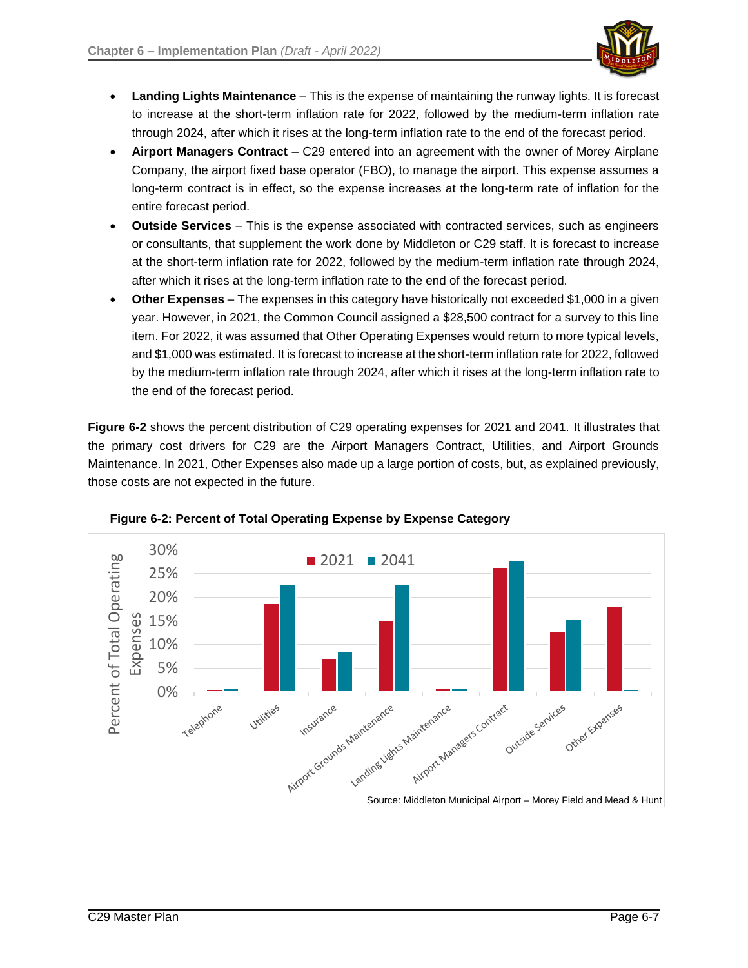

- **Landing Lights Maintenance** This is the expense of maintaining the runway lights. It is forecast to increase at the short-term inflation rate for 2022, followed by the medium-term inflation rate through 2024, after which it rises at the long-term inflation rate to the end of the forecast period.
- **Airport Managers Contract** C29 entered into an agreement with the owner of Morey Airplane Company, the airport fixed base operator (FBO), to manage the airport. This expense assumes a long-term contract is in effect, so the expense increases at the long-term rate of inflation for the entire forecast period.
- **Outside Services** This is the expense associated with contracted services, such as engineers or consultants, that supplement the work done by Middleton or C29 staff. It is forecast to increase at the short-term inflation rate for 2022, followed by the medium-term inflation rate through 2024, after which it rises at the long-term inflation rate to the end of the forecast period.
- **Other Expenses** The expenses in this category have historically not exceeded \$1,000 in a given year. However, in 2021, the Common Council assigned a \$28,500 contract for a survey to this line item. For 2022, it was assumed that Other Operating Expenses would return to more typical levels, and \$1,000 was estimated. It is forecast to increase at the short-term inflation rate for 2022, followed by the medium-term inflation rate through 2024, after which it rises at the long-term inflation rate to the end of the forecast period.

**Figure 6-2** shows the percent distribution of C29 operating expenses for 2021 and 2041. It illustrates that the primary cost drivers for C29 are the Airport Managers Contract, Utilities, and Airport Grounds Maintenance. In 2021, Other Expenses also made up a large portion of costs, but, as explained previously, those costs are not expected in the future.



**Figure 6-2: Percent of Total Operating Expense by Expense Category**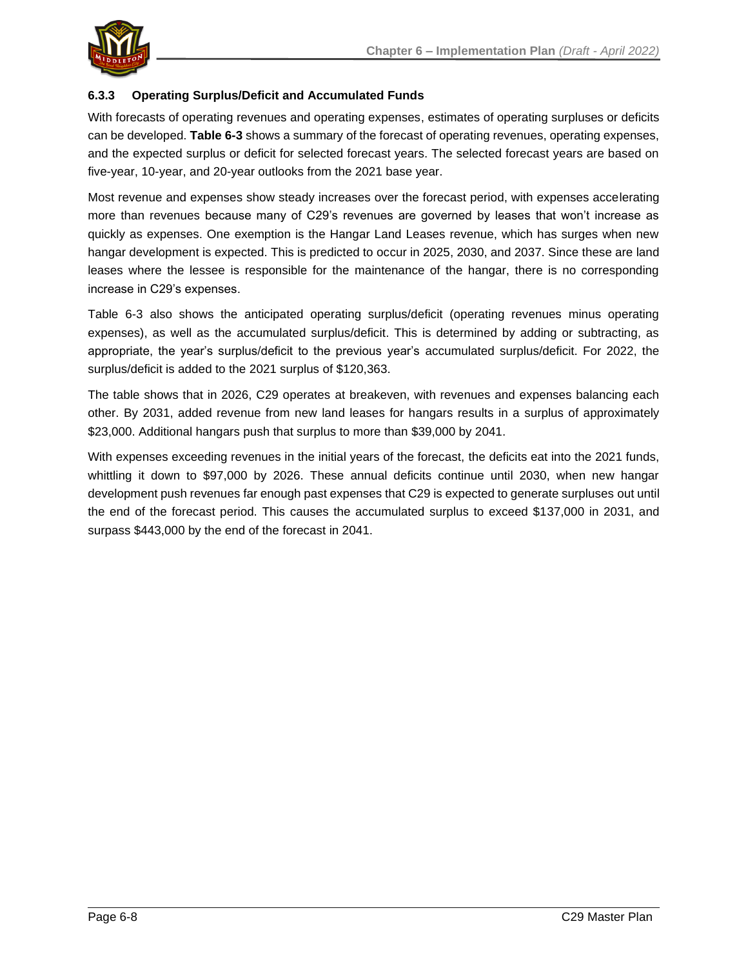

## **6.3.3 Operating Surplus/Deficit and Accumulated Funds**

With forecasts of operating revenues and operating expenses, estimates of operating surpluses or deficits can be developed. **Table 6-3** shows a summary of the forecast of operating revenues, operating expenses, and the expected surplus or deficit for selected forecast years. The selected forecast years are based on five-year, 10-year, and 20-year outlooks from the 2021 base year.

Most revenue and expenses show steady increases over the forecast period, with expenses accelerating more than revenues because many of C29's revenues are governed by leases that won't increase as quickly as expenses. One exemption is the Hangar Land Leases revenue, which has surges when new hangar development is expected. This is predicted to occur in 2025, 2030, and 2037. Since these are land leases where the lessee is responsible for the maintenance of the hangar, there is no corresponding increase in C29's expenses.

Table 6-3 also shows the anticipated operating surplus/deficit (operating revenues minus operating expenses), as well as the accumulated surplus/deficit. This is determined by adding or subtracting, as appropriate, the year's surplus/deficit to the previous year's accumulated surplus/deficit. For 2022, the surplus/deficit is added to the 2021 surplus of \$120,363.

The table shows that in 2026, C29 operates at breakeven, with revenues and expenses balancing each other. By 2031, added revenue from new land leases for hangars results in a surplus of approximately \$23,000. Additional hangars push that surplus to more than \$39,000 by 2041.

With expenses exceeding revenues in the initial years of the forecast, the deficits eat into the 2021 funds, whittling it down to \$97,000 by 2026. These annual deficits continue until 2030, when new hangar development push revenues far enough past expenses that C29 is expected to generate surpluses out until the end of the forecast period. This causes the accumulated surplus to exceed \$137,000 in 2031, and surpass \$443,000 by the end of the forecast in 2041.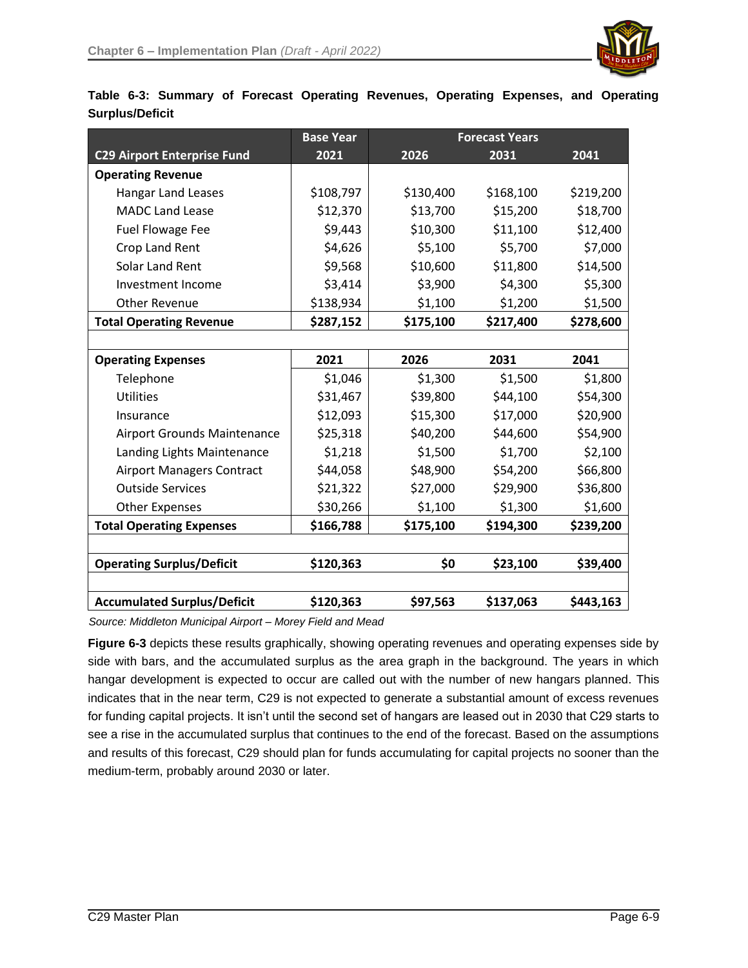

|                        |  |  | Table 6-3: Summary of Forecast Operating Revenues, Operating Expenses, and Operating |  |  |
|------------------------|--|--|--------------------------------------------------------------------------------------|--|--|
| <b>Surplus/Deficit</b> |  |  |                                                                                      |  |  |

|                                    | <b>Base Year</b> | <b>Forecast Years</b> |           |           |
|------------------------------------|------------------|-----------------------|-----------|-----------|
| <b>C29 Airport Enterprise Fund</b> | 2021             | 2026                  | 2031      | 2041      |
| <b>Operating Revenue</b>           |                  |                       |           |           |
| <b>Hangar Land Leases</b>          | \$108,797        | \$130,400             | \$168,100 | \$219,200 |
| <b>MADC Land Lease</b>             | \$12,370         | \$13,700              | \$15,200  | \$18,700  |
| <b>Fuel Flowage Fee</b>            | \$9,443          | \$10,300              | \$11,100  | \$12,400  |
| Crop Land Rent                     | \$4,626          | \$5,100               | \$5,700   | \$7,000   |
| <b>Solar Land Rent</b>             | \$9,568          | \$10,600              | \$11,800  | \$14,500  |
| Investment Income                  | \$3,414          | \$3,900               | \$4,300   | \$5,300   |
| <b>Other Revenue</b>               | \$138,934        | \$1,100               | \$1,200   | \$1,500   |
| <b>Total Operating Revenue</b>     | \$287,152        | \$175,100             | \$217,400 | \$278,600 |
|                                    |                  |                       |           |           |
| <b>Operating Expenses</b>          | 2021             | 2026                  | 2031      | 2041      |
| Telephone                          | \$1,046          | \$1,300               | \$1,500   | \$1,800   |
| <b>Utilities</b>                   | \$31,467         | \$39,800              | \$44,100  | \$54,300  |
| Insurance                          | \$12,093         | \$15,300              | \$17,000  | \$20,900  |
| <b>Airport Grounds Maintenance</b> | \$25,318         | \$40,200              | \$44,600  | \$54,900  |
| Landing Lights Maintenance         | \$1,218          | \$1,500               | \$1,700   | \$2,100   |
| <b>Airport Managers Contract</b>   | \$44,058         | \$48,900              | \$54,200  | \$66,800  |
| <b>Outside Services</b>            | \$21,322         | \$27,000              | \$29,900  | \$36,800  |
| <b>Other Expenses</b>              | \$30,266         | \$1,100               | \$1,300   | \$1,600   |
| <b>Total Operating Expenses</b>    | \$166,788        | \$175,100             | \$194,300 | \$239,200 |
|                                    |                  |                       |           |           |
| <b>Operating Surplus/Deficit</b>   | \$120,363        | \$0                   | \$23,100  | \$39,400  |
|                                    |                  |                       |           |           |
| <b>Accumulated Surplus/Deficit</b> | \$120,363        | \$97,563              | \$137,063 | \$443,163 |

*Source: Middleton Municipal Airport – Morey Field and Mead* 

Figure 6-3 depicts these results graphically, showing operating revenues and operating expenses side by side with bars, and the accumulated surplus as the area graph in the background. The years in which hangar development is expected to occur are called out with the number of new hangars planned. This indicates that in the near term, C29 is not expected to generate a substantial amount of excess revenues for funding capital projects. It isn't until the second set of hangars are leased out in 2030 that C29 starts to see a rise in the accumulated surplus that continues to the end of the forecast. Based on the assumptions and results of this forecast, C29 should plan for funds accumulating for capital projects no sooner than the medium-term, probably around 2030 or later.